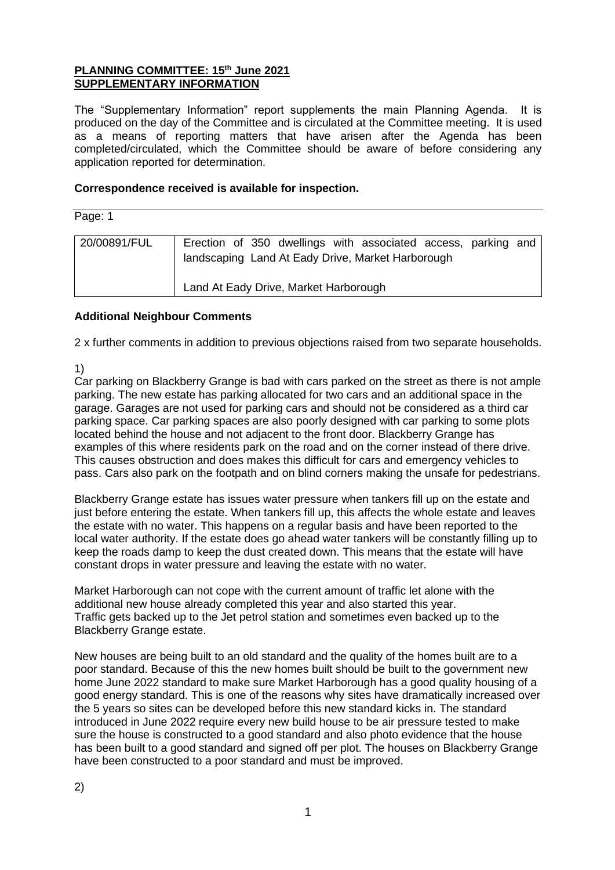#### **PLANNING COMMITTEE: 15 th June 2021 SUPPLEMENTARY INFORMATION**

The "Supplementary Information" report supplements the main Planning Agenda. It is produced on the day of the Committee and is circulated at the Committee meeting. It is used as a means of reporting matters that have arisen after the Agenda has been completed/circulated, which the Committee should be aware of before considering any application reported for determination.

#### **Correspondence received is available for inspection.**

Page: 1

| 20/00891/FUL |                                                   |  |  |  | Erection of 350 dwellings with associated access, parking and |  |  |  |
|--------------|---------------------------------------------------|--|--|--|---------------------------------------------------------------|--|--|--|
|              | landscaping Land At Eady Drive, Market Harborough |  |  |  |                                                               |  |  |  |
|              | Land At Eady Drive, Market Harborough             |  |  |  |                                                               |  |  |  |
|              |                                                   |  |  |  |                                                               |  |  |  |

#### **Additional Neighbour Comments**

2 x further comments in addition to previous objections raised from two separate households.

1)

Car parking on Blackberry Grange is bad with cars parked on the street as there is not ample parking. The new estate has parking allocated for two cars and an additional space in the garage. Garages are not used for parking cars and should not be considered as a third car parking space. Car parking spaces are also poorly designed with car parking to some plots located behind the house and not adjacent to the front door. Blackberry Grange has examples of this where residents park on the road and on the corner instead of there drive. This causes obstruction and does makes this difficult for cars and emergency vehicles to pass. Cars also park on the footpath and on blind corners making the unsafe for pedestrians.

Blackberry Grange estate has issues water pressure when tankers fill up on the estate and just before entering the estate. When tankers fill up, this affects the whole estate and leaves the estate with no water. This happens on a regular basis and have been reported to the local water authority. If the estate does go ahead water tankers will be constantly filling up to keep the roads damp to keep the dust created down. This means that the estate will have constant drops in water pressure and leaving the estate with no water.

Market Harborough can not cope with the current amount of traffic let alone with the additional new house already completed this year and also started this year. Traffic gets backed up to the Jet petrol station and sometimes even backed up to the Blackberry Grange estate.

New houses are being built to an old standard and the quality of the homes built are to a poor standard. Because of this the new homes built should be built to the government new home June 2022 standard to make sure Market Harborough has a good quality housing of a good energy standard. This is one of the reasons why sites have dramatically increased over the 5 years so sites can be developed before this new standard kicks in. The standard introduced in June 2022 require every new build house to be air pressure tested to make sure the house is constructed to a good standard and also photo evidence that the house has been built to a good standard and signed off per plot. The houses on Blackberry Grange have been constructed to a poor standard and must be improved.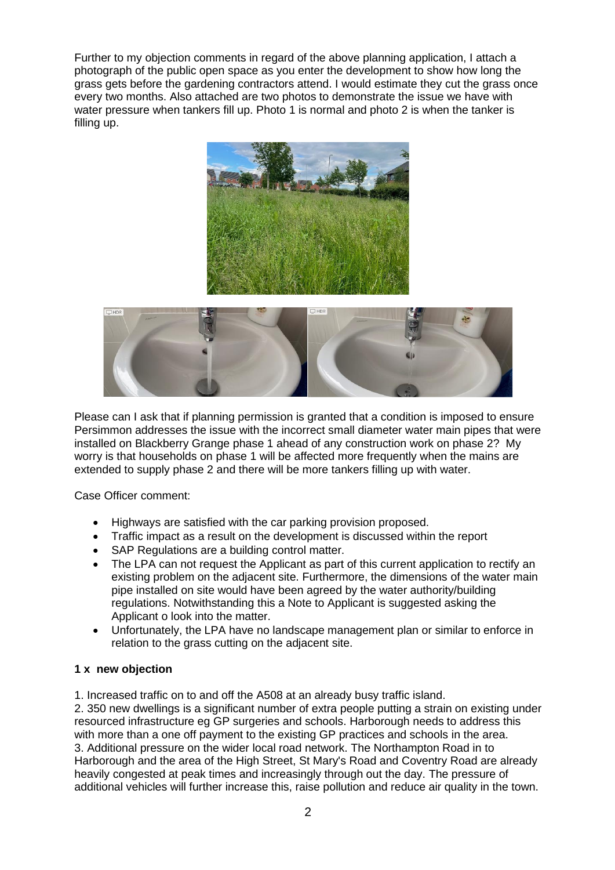Further to my objection comments in regard of the above planning application, I attach a photograph of the public open space as you enter the development to show how long the grass gets before the gardening contractors attend. I would estimate they cut the grass once every two months. Also attached are two photos to demonstrate the issue we have with water pressure when tankers fill up. Photo 1 is normal and photo 2 is when the tanker is filling up.





Please can I ask that if planning permission is granted that a condition is imposed to ensure Persimmon addresses the issue with the incorrect small diameter water main pipes that were installed on Blackberry Grange phase 1 ahead of any construction work on phase 2? My worry is that households on phase 1 will be affected more frequently when the mains are extended to supply phase 2 and there will be more tankers filling up with water.

Case Officer comment:

- Highways are satisfied with the car parking provision proposed.
- Traffic impact as a result on the development is discussed within the report
- SAP Regulations are a building control matter.
- The LPA can not request the Applicant as part of this current application to rectify an existing problem on the adjacent site. Furthermore, the dimensions of the water main pipe installed on site would have been agreed by the water authority/building regulations. Notwithstanding this a Note to Applicant is suggested asking the Applicant o look into the matter.
- Unfortunately, the LPA have no landscape management plan or similar to enforce in relation to the grass cutting on the adjacent site.

#### **1 x new objection**

1. Increased traffic on to and off the A508 at an already busy traffic island.

2. 350 new dwellings is a significant number of extra people putting a strain on existing under resourced infrastructure eg GP surgeries and schools. Harborough needs to address this with more than a one off payment to the existing GP practices and schools in the area. 3. Additional pressure on the wider local road network. The Northampton Road in to Harborough and the area of the High Street, St Mary's Road and Coventry Road are already heavily congested at peak times and increasingly through out the day. The pressure of additional vehicles will further increase this, raise pollution and reduce air quality in the town.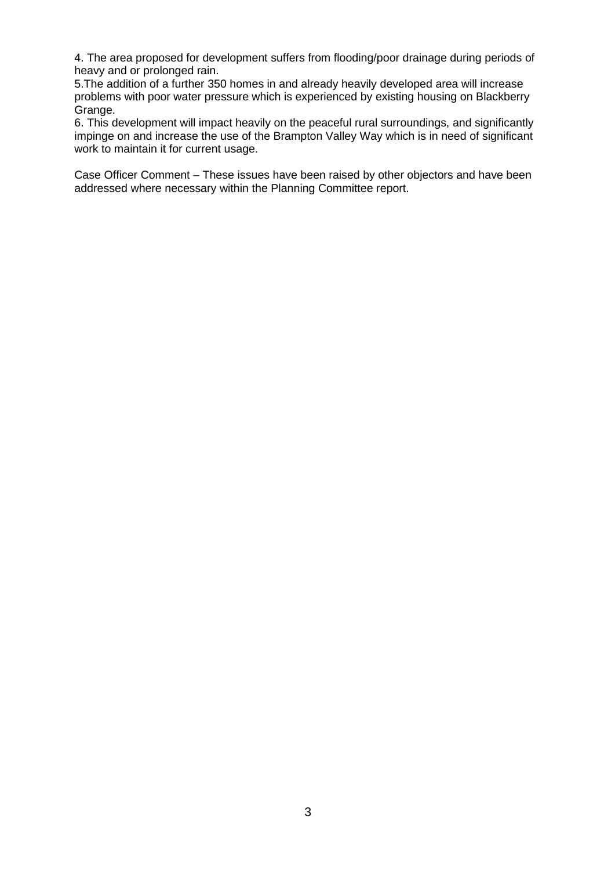4. The area proposed for development suffers from flooding/poor drainage during periods of heavy and or prolonged rain.

5.The addition of a further 350 homes in and already heavily developed area will increase problems with poor water pressure which is experienced by existing housing on Blackberry Grange.

6. This development will impact heavily on the peaceful rural surroundings, and significantly impinge on and increase the use of the Brampton Valley Way which is in need of significant work to maintain it for current usage.

Case Officer Comment – These issues have been raised by other objectors and have been addressed where necessary within the Planning Committee report.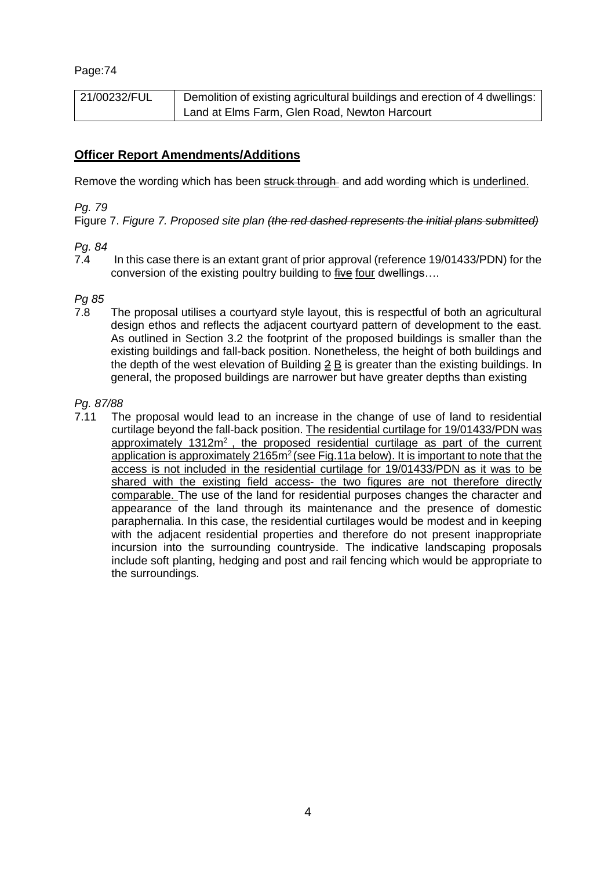| 21/00232/FUL | Demolition of existing agricultural buildings and erection of 4 dwellings: |
|--------------|----------------------------------------------------------------------------|
|              | Land at Elms Farm, Glen Road, Newton Harcourt                              |

## **Officer Report Amendments/Additions**

Remove the wording which has been **struck through** and add wording which is underlined.

#### *Pg. 79*

Figure 7. *Figure 7. Proposed site plan (the red dashed represents the initial plans submitted)*

#### *Pg. 84*

7.4 In this case there is an extant grant of prior approval (reference 19/01433/PDN) for the conversion of the existing poultry building to five four dwellings....

#### *Pg 85*

7.8 The proposal utilises a courtyard style layout, this is respectful of both an agricultural design ethos and reflects the adjacent courtyard pattern of development to the east. As outlined in Section 3.2 the footprint of the proposed buildings is smaller than the existing buildings and fall-back position. Nonetheless, the height of both buildings and the depth of the west elevation of Building 2 B is greater than the existing buildings. In general, the proposed buildings are narrower but have greater depths than existing

#### *Pg. 87/88*

7.11 The proposal would lead to an increase in the change of use of land to residential curtilage beyond the fall-back position. The residential curtilage for 19/01433/PDN was approximately  $1312m^2$ , the proposed residential curtilage as part of the current application is approximately 2165m<sup>2</sup> (see Fig.11a below). It is important to note that the access is not included in the residential curtilage for 19/01433/PDN as it was to be shared with the existing field access- the two figures are not therefore directly comparable. The use of the land for residential purposes changes the character and appearance of the land through its maintenance and the presence of domestic paraphernalia. In this case, the residential curtilages would be modest and in keeping with the adjacent residential properties and therefore do not present inappropriate incursion into the surrounding countryside. The indicative landscaping proposals include soft planting, hedging and post and rail fencing which would be appropriate to the surroundings.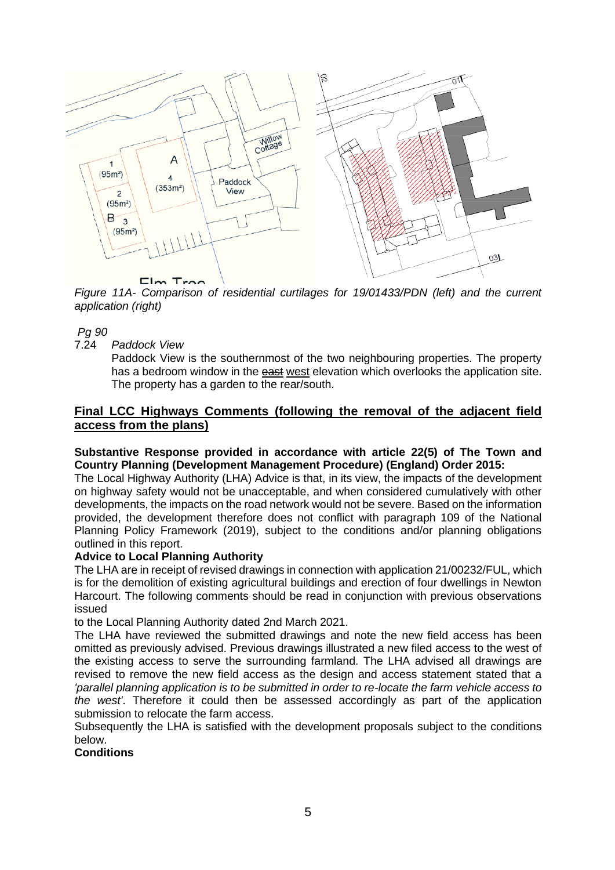

*Figure 11A- Comparison of residential curtilages for 19/01433/PDN (left) and the current application (right)*

#### *Pg 90*

7.24 *Paddock View*

Paddock View is the southernmost of the two neighbouring properties. The property has a bedroom window in the **east west elevation which overlooks the application site.** The property has a garden to the rear/south.

### **Final LCC Highways Comments (following the removal of the adjacent field access from the plans)**

#### **Substantive Response provided in accordance with article 22(5) of The Town and Country Planning (Development Management Procedure) (England) Order 2015:**

The Local Highway Authority (LHA) Advice is that, in its view, the impacts of the development on highway safety would not be unacceptable, and when considered cumulatively with other developments, the impacts on the road network would not be severe. Based on the information provided, the development therefore does not conflict with paragraph 109 of the National Planning Policy Framework (2019), subject to the conditions and/or planning obligations outlined in this report.

#### **Advice to Local Planning Authority**

The LHA are in receipt of revised drawings in connection with application 21/00232/FUL, which is for the demolition of existing agricultural buildings and erection of four dwellings in Newton Harcourt. The following comments should be read in conjunction with previous observations issued

to the Local Planning Authority dated 2nd March 2021.

The LHA have reviewed the submitted drawings and note the new field access has been omitted as previously advised. Previous drawings illustrated a new filed access to the west of the existing access to serve the surrounding farmland. The LHA advised all drawings are revised to remove the new field access as the design and access statement stated that a *'parallel planning application is to be submitted in order to re-locate the farm vehicle access to the west'*. Therefore it could then be assessed accordingly as part of the application submission to relocate the farm access.

Subsequently the LHA is satisfied with the development proposals subject to the conditions below.

**Conditions**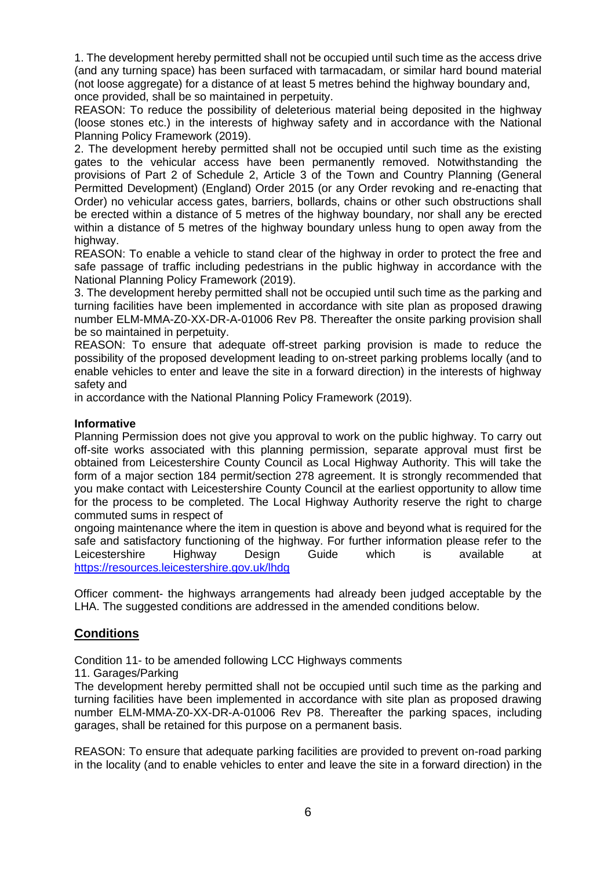1. The development hereby permitted shall not be occupied until such time as the access drive (and any turning space) has been surfaced with tarmacadam, or similar hard bound material (not loose aggregate) for a distance of at least 5 metres behind the highway boundary and, once provided, shall be so maintained in perpetuity.

REASON: To reduce the possibility of deleterious material being deposited in the highway (loose stones etc.) in the interests of highway safety and in accordance with the National Planning Policy Framework (2019).

2. The development hereby permitted shall not be occupied until such time as the existing gates to the vehicular access have been permanently removed. Notwithstanding the provisions of Part 2 of Schedule 2, Article 3 of the Town and Country Planning (General Permitted Development) (England) Order 2015 (or any Order revoking and re-enacting that Order) no vehicular access gates, barriers, bollards, chains or other such obstructions shall be erected within a distance of 5 metres of the highway boundary, nor shall any be erected within a distance of 5 metres of the highway boundary unless hung to open away from the highway.

REASON: To enable a vehicle to stand clear of the highway in order to protect the free and safe passage of traffic including pedestrians in the public highway in accordance with the National Planning Policy Framework (2019).

3. The development hereby permitted shall not be occupied until such time as the parking and turning facilities have been implemented in accordance with site plan as proposed drawing number ELM-MMA-Z0-XX-DR-A-01006 Rev P8. Thereafter the onsite parking provision shall be so maintained in perpetuity.

REASON: To ensure that adequate off-street parking provision is made to reduce the possibility of the proposed development leading to on-street parking problems locally (and to enable vehicles to enter and leave the site in a forward direction) in the interests of highway safety and

in accordance with the National Planning Policy Framework (2019).

#### **Informative**

Planning Permission does not give you approval to work on the public highway. To carry out off-site works associated with this planning permission, separate approval must first be obtained from Leicestershire County Council as Local Highway Authority. This will take the form of a major section 184 permit/section 278 agreement. It is strongly recommended that you make contact with Leicestershire County Council at the earliest opportunity to allow time for the process to be completed. The Local Highway Authority reserve the right to charge commuted sums in respect of

ongoing maintenance where the item in question is above and beyond what is required for the safe and satisfactory functioning of the highway. For further information please refer to the Leicestershire Highway Design Guide which is available at <https://resources.leicestershire.gov.uk/lhdg>

Officer comment- the highways arrangements had already been judged acceptable by the LHA. The suggested conditions are addressed in the amended conditions below.

## **Conditions**

Condition 11- to be amended following LCC Highways comments

11. Garages/Parking

The development hereby permitted shall not be occupied until such time as the parking and turning facilities have been implemented in accordance with site plan as proposed drawing number ELM-MMA-Z0-XX-DR-A-01006 Rev P8. Thereafter the parking spaces, including garages, shall be retained for this purpose on a permanent basis.

REASON: To ensure that adequate parking facilities are provided to prevent on-road parking in the locality (and to enable vehicles to enter and leave the site in a forward direction) in the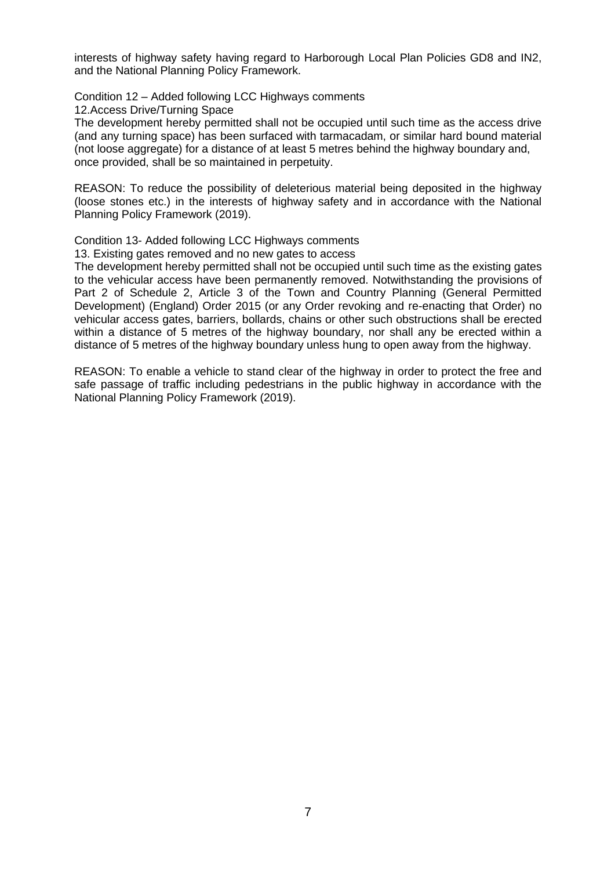interests of highway safety having regard to Harborough Local Plan Policies GD8 and IN2, and the National Planning Policy Framework.

Condition 12 – Added following LCC Highways comments

12.Access Drive/Turning Space

The development hereby permitted shall not be occupied until such time as the access drive (and any turning space) has been surfaced with tarmacadam, or similar hard bound material (not loose aggregate) for a distance of at least 5 metres behind the highway boundary and, once provided, shall be so maintained in perpetuity.

REASON: To reduce the possibility of deleterious material being deposited in the highway (loose stones etc.) in the interests of highway safety and in accordance with the National Planning Policy Framework (2019).

Condition 13- Added following LCC Highways comments

13. Existing gates removed and no new gates to access

The development hereby permitted shall not be occupied until such time as the existing gates to the vehicular access have been permanently removed. Notwithstanding the provisions of Part 2 of Schedule 2, Article 3 of the Town and Country Planning (General Permitted Development) (England) Order 2015 (or any Order revoking and re-enacting that Order) no vehicular access gates, barriers, bollards, chains or other such obstructions shall be erected within a distance of 5 metres of the highway boundary, nor shall any be erected within a distance of 5 metres of the highway boundary unless hung to open away from the highway.

REASON: To enable a vehicle to stand clear of the highway in order to protect the free and safe passage of traffic including pedestrians in the public highway in accordance with the National Planning Policy Framework (2019).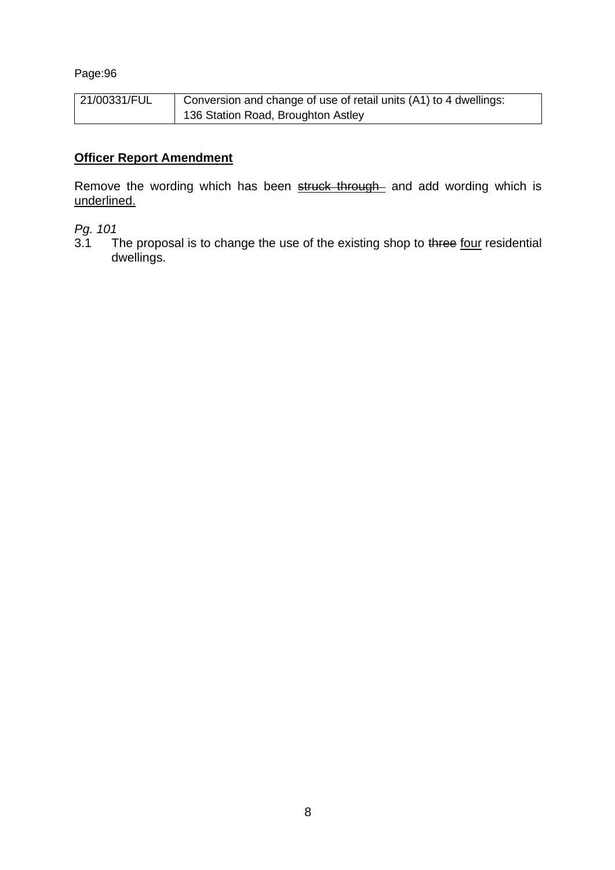| 21/00331/FUL | Conversion and change of use of retail units (A1) to 4 dwellings: |
|--------------|-------------------------------------------------------------------|
|              | 136 Station Road, Broughton Astley                                |

# **Officer Report Amendment**

Remove the wording which has been struck through and add wording which is underlined.

*Pg. 101*

The proposal is to change the use of the existing shop to three four residential dwellings.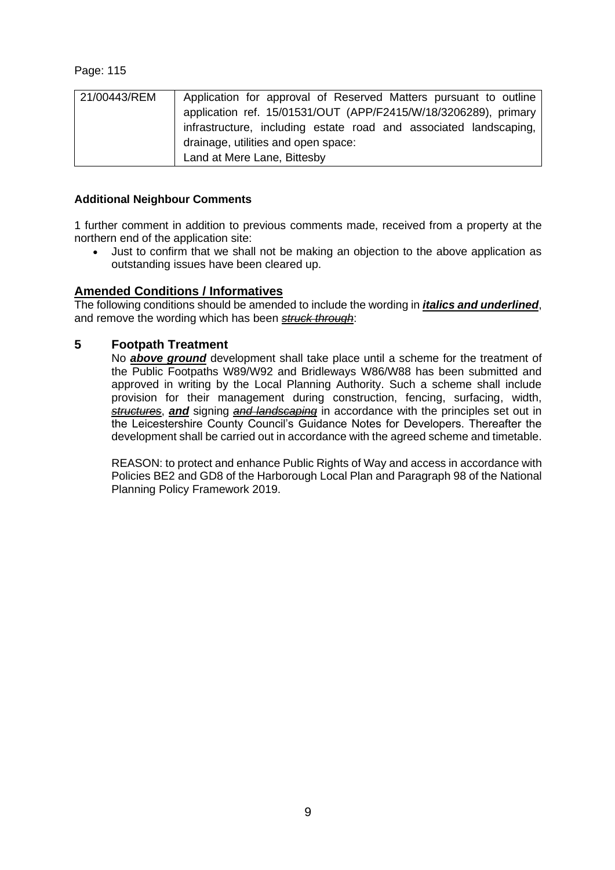| 21/00443/REM | Application for approval of Reserved Matters pursuant to outline  |
|--------------|-------------------------------------------------------------------|
|              | application ref. 15/01531/OUT (APP/F2415/W/18/3206289), primary   |
|              | infrastructure, including estate road and associated landscaping, |
|              | drainage, utilities and open space:                               |
|              | Land at Mere Lane, Bittesby                                       |

#### **Additional Neighbour Comments**

1 further comment in addition to previous comments made, received from a property at the northern end of the application site:

• Just to confirm that we shall not be making an objection to the above application as outstanding issues have been cleared up.

#### **Amended Conditions / Informatives**

The following conditions should be amended to include the wording in *italics and underlined*, and remove the wording which has been *struck through*:

#### **5 Footpath Treatment**

No *above ground* development shall take place until a scheme for the treatment of the Public Footpaths W89/W92 and Bridleways W86/W88 has been submitted and approved in writing by the Local Planning Authority. Such a scheme shall include provision for their management during construction, fencing, surfacing, width, *structures*, *and* signing *and landscaping* in accordance with the principles set out in the Leicestershire County Council's Guidance Notes for Developers. Thereafter the development shall be carried out in accordance with the agreed scheme and timetable.

REASON: to protect and enhance Public Rights of Way and access in accordance with Policies BE2 and GD8 of the Harborough Local Plan and Paragraph 98 of the National Planning Policy Framework 2019.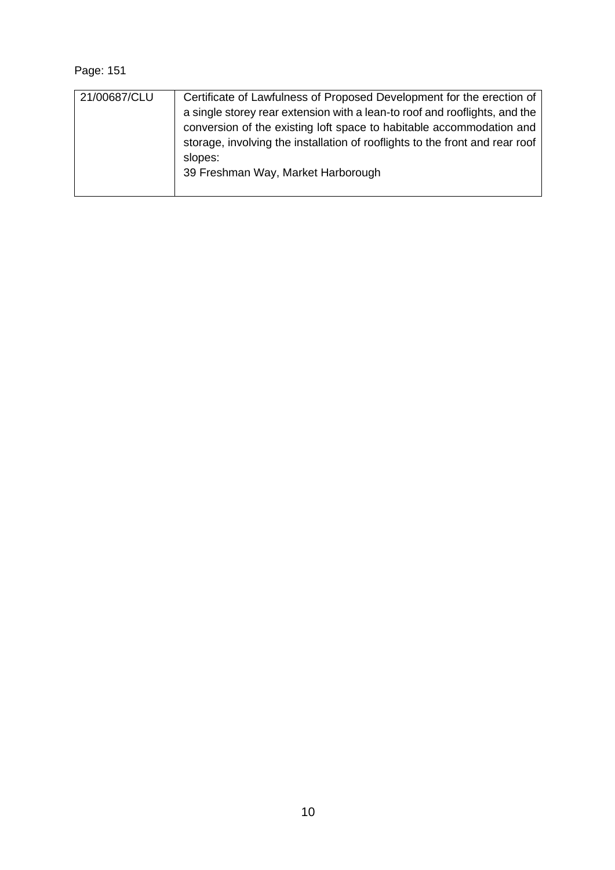| 21/00687/CLU | Certificate of Lawfulness of Proposed Development for the erection of<br>a single storey rear extension with a lean-to roof and rooflights, and the<br>conversion of the existing loft space to habitable accommodation and<br>storage, involving the installation of rooflights to the front and rear roof<br>slopes:<br>39 Freshman Way, Market Harborough |
|--------------|--------------------------------------------------------------------------------------------------------------------------------------------------------------------------------------------------------------------------------------------------------------------------------------------------------------------------------------------------------------|
|--------------|--------------------------------------------------------------------------------------------------------------------------------------------------------------------------------------------------------------------------------------------------------------------------------------------------------------------------------------------------------------|